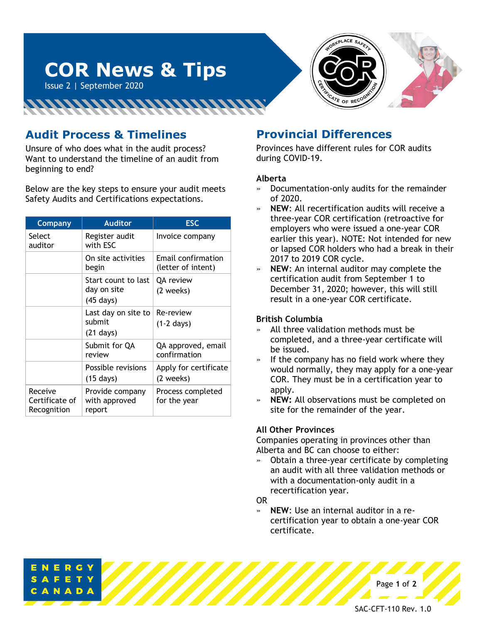

# **Audit Process & Timelines**

Issue 2 | September 2020

Unsure of who does what in the audit process? Want to understand the timeline of an audit from beginning to end?

**COR News & Tips**

<u>INNINNINININININI</u>

Below are the key steps to ensure your audit meets Safety Audits and Certifications expectations.

| <b>Company</b>                           | <b>Auditor</b>                                            | <b>ESC</b>                               |
|------------------------------------------|-----------------------------------------------------------|------------------------------------------|
| Select<br>auditor                        | Register audit<br>with ESC                                | Invoice company                          |
|                                          | On site activities<br>begin                               | Email confirmation<br>(letter of intent) |
|                                          | Start count to last<br>day on site<br>$(45 \text{ days})$ | <b>QA</b> review<br>(2 weeks)            |
|                                          | Last day on site to<br>submit<br>$(21 \text{ days})$      | Re-review<br>$(1-2 \text{ days})$        |
|                                          | Submit for QA<br>review                                   | QA approved, email<br>confirmation       |
|                                          | Possible revisions<br>$(15 \text{ days})$                 | Apply for certificate<br>(2 weeks)       |
| Receive<br>Certificate of<br>Recognition | Provide company<br>with approved<br>report                | Process completed<br>for the year        |

### **Provincial Differences**

Provinces have different rules for COR audits during COVID-19.

#### **Alberta**

- » Documentation-only audits for the remainder of 2020.
- » **NEW**: All recertification audits will receive a three-year COR certification (retroactive for employers who were issued a one-year COR earlier this year). NOTE: Not intended for new or lapsed COR holders who had a break in their 2017 to 2019 COR cycle.
- » **NEW**: An internal auditor may complete the certification audit from September 1 to December 31, 2020; however, this will still result in a one-year COR certificate.

#### **British Columbia**

- All three validation methods must be completed, and a three-year certificate will be issued.
- If the company has no field work where they would normally, they may apply for a one-year COR. They must be in a certification year to apply.
- » **NEW:** All observations must be completed on site for the remainder of the year.

#### **All Other Provinces**

Companies operating in provinces other than Alberta and BC can choose to either:

» Obtain a three-year certificate by completing an audit with all three validation methods or with a documentation-only audit in a recertification year.

OR

» **NEW**: Use an internal auditor in a recertification year to obtain a one-year COR certificate.